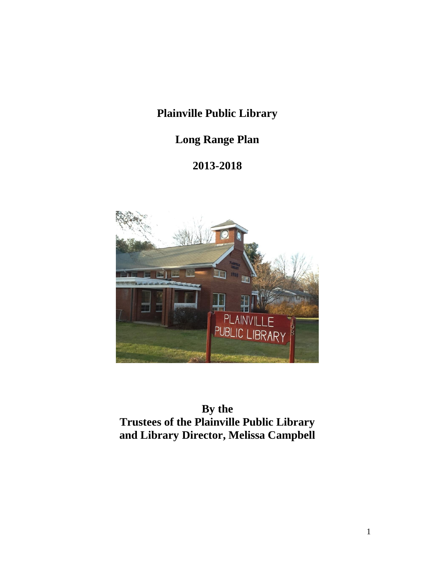# **Plainville Public Library**

# **Long Range Plan**

# **2013-2018**



**By the Trustees of the Plainville Public Library and Library Director, Melissa Campbell**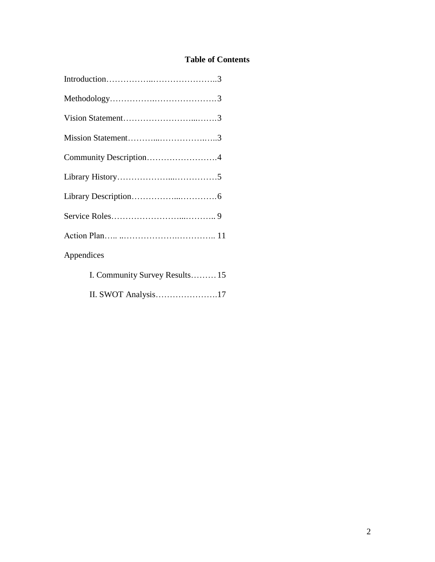# **Table of Contents**

| Community Description4         |  |
|--------------------------------|--|
|                                |  |
|                                |  |
|                                |  |
|                                |  |
| Appendices                     |  |
| I. Community Survey Results 15 |  |
| II. SWOT Analysis17            |  |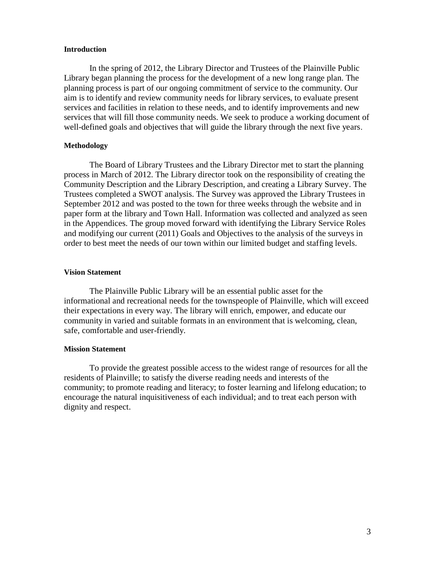#### **Introduction**

In the spring of 2012, the Library Director and Trustees of the Plainville Public Library began planning the process for the development of a new long range plan. The planning process is part of our ongoing commitment of service to the community. Our aim is to identify and review community needs for library services, to evaluate present services and facilities in relation to these needs, and to identify improvements and new services that will fill those community needs. We seek to produce a working document of well-defined goals and objectives that will guide the library through the next five years.

#### **Methodology**

The Board of Library Trustees and the Library Director met to start the planning process in March of 2012. The Library director took on the responsibility of creating the Community Description and the Library Description, and creating a Library Survey. The Trustees completed a SWOT analysis. The Survey was approved the Library Trustees in September 2012 and was posted to the town for three weeks through the website and in paper form at the library and Town Hall. Information was collected and analyzed as seen in the Appendices. The group moved forward with identifying the Library Service Roles and modifying our current (2011) Goals and Objectives to the analysis of the surveys in order to best meet the needs of our town within our limited budget and staffing levels.

#### **Vision Statement**

The Plainville Public Library will be an essential public asset for the informational and recreational needs for the townspeople of Plainville, which will exceed their expectations in every way. The library will enrich, empower, and educate our community in varied and suitable formats in an environment that is welcoming, clean, safe, comfortable and user-friendly.

#### **Mission Statement**

To provide the greatest possible access to the widest range of resources for all the residents of Plainville; to satisfy the diverse reading needs and interests of the community; to promote reading and literacy; to foster learning and lifelong education; to encourage the natural inquisitiveness of each individual; and to treat each person with dignity and respect.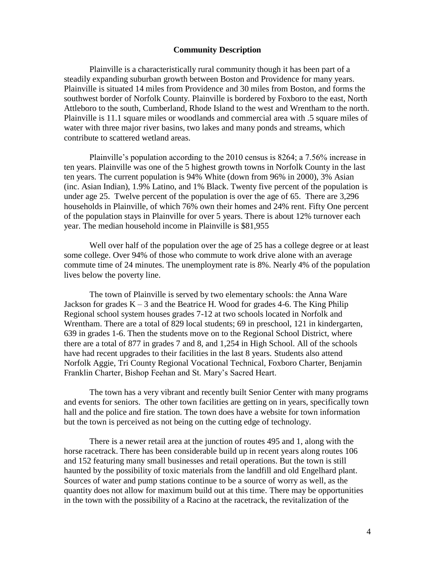#### **Community Description**

Plainville is a characteristically rural community though it has been part of a steadily expanding suburban growth between Boston and Providence for many years. Plainville is situated 14 miles from Providence and 30 miles from Boston, and forms the southwest border of Norfolk County. Plainville is bordered by Foxboro to the east, North Attleboro to the south, Cumberland, Rhode Island to the west and Wrentham to the north. Plainville is 11.1 square miles or woodlands and commercial area with .5 square miles of water with three major river basins, two lakes and many ponds and streams, which contribute to scattered wetland areas.

Plainville's population according to the 2010 census is 8264; a 7.56% increase in ten years. Plainville was one of the 5 highest growth towns in Norfolk County in the last ten years. The current population is 94% White (down from 96% in 2000), 3% Asian (inc. Asian Indian), 1.9% Latino, and 1% Black. Twenty five percent of the population is under age 25. Twelve percent of the population is over the age of 65. There are 3,296 households in Plainville, of which 76% own their homes and 24% rent. Fifty One percent of the population stays in Plainville for over 5 years. There is about 12% turnover each year. The median household income in Plainville is \$81,955

Well over half of the population over the age of 25 has a college degree or at least some college. Over 94% of those who commute to work drive alone with an average commute time of 24 minutes. The unemployment rate is 8%. Nearly 4% of the population lives below the poverty line.

The town of Plainville is served by two elementary schools: the Anna Ware Jackson for grades  $K - 3$  and the Beatrice H. Wood for grades 4-6. The King Philip Regional school system houses grades 7-12 at two schools located in Norfolk and Wrentham. There are a total of 829 local students; 69 in preschool, 121 in kindergarten, 639 in grades 1-6. Then the students move on to the Regional School District, where there are a total of 877 in grades 7 and 8, and 1,254 in High School. All of the schools have had recent upgrades to their facilities in the last 8 years. Students also attend Norfolk Aggie, Tri County Regional Vocational Technical, Foxboro Charter, Benjamin Franklin Charter, Bishop Feehan and St. Mary's Sacred Heart.

The town has a very vibrant and recently built Senior Center with many programs and events for seniors. The other town facilities are getting on in years, specifically town hall and the police and fire station. The town does have a website for town information but the town is perceived as not being on the cutting edge of technology.

There is a newer retail area at the junction of routes 495 and 1, along with the horse racetrack. There has been considerable build up in recent years along routes 106 and 152 featuring many small businesses and retail operations. But the town is still haunted by the possibility of toxic materials from the landfill and old Engelhard plant. Sources of water and pump stations continue to be a source of worry as well, as the quantity does not allow for maximum build out at this time. There may be opportunities in the town with the possibility of a Racino at the racetrack, the revitalization of the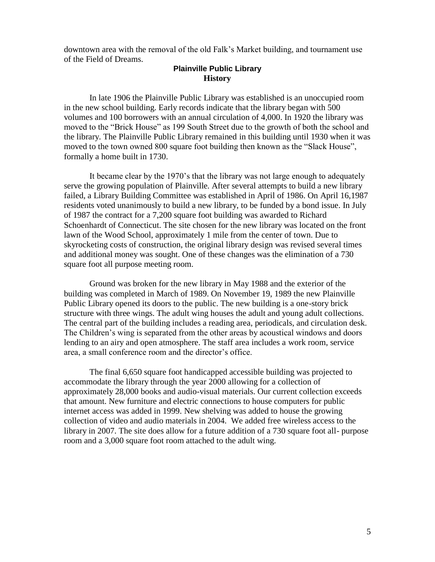downtown area with the removal of the old Falk's Market building, and tournament use of the Field of Dreams.

## **Plainville Public Library History**

In late 1906 the Plainville Public Library was established is an unoccupied room in the new school building. Early records indicate that the library began with 500 volumes and 100 borrowers with an annual circulation of 4,000. In 1920 the library was moved to the "Brick House" as 199 South Street due to the growth of both the school and the library. The Plainville Public Library remained in this building until 1930 when it was moved to the town owned 800 square foot building then known as the "Slack House", formally a home built in 1730.

It became clear by the 1970's that the library was not large enough to adequately serve the growing population of Plainville. After several attempts to build a new library failed, a Library Building Committee was established in April of 1986. On April 16,1987 residents voted unanimously to build a new library, to be funded by a bond issue. In July of 1987 the contract for a 7,200 square foot building was awarded to Richard Schoenhardt of Connecticut. The site chosen for the new library was located on the front lawn of the Wood School, approximately 1 mile from the center of town. Due to skyrocketing costs of construction, the original library design was revised several times and additional money was sought. One of these changes was the elimination of a 730 square foot all purpose meeting room.

Ground was broken for the new library in May 1988 and the exterior of the building was completed in March of 1989. On November 19, 1989 the new Plainville Public Library opened its doors to the public. The new building is a one-story brick structure with three wings. The adult wing houses the adult and young adult collections. The central part of the building includes a reading area, periodicals, and circulation desk. The Children's wing is separated from the other areas by acoustical windows and doors lending to an airy and open atmosphere. The staff area includes a work room, service area, a small conference room and the director's office.

The final 6,650 square foot handicapped accessible building was projected to accommodate the library through the year 2000 allowing for a collection of approximately 28,000 books and audio-visual materials. Our current collection exceeds that amount. New furniture and electric connections to house computers for public internet access was added in 1999. New shelving was added to house the growing collection of video and audio materials in 2004. We added free wireless access to the library in 2007. The site does allow for a future addition of a 730 square foot all- purpose room and a 3,000 square foot room attached to the adult wing.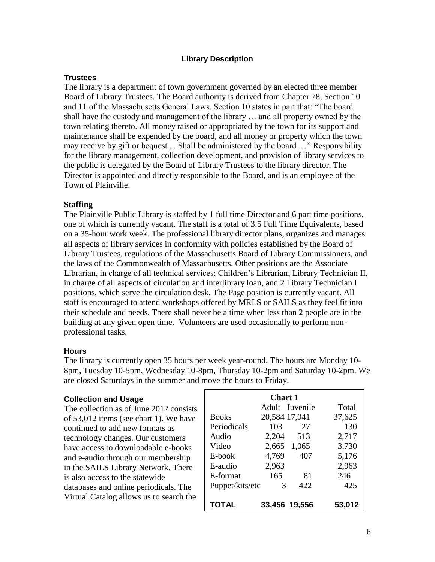## **Library Description**

### **Trustees**

The library is a department of town government governed by an elected three member Board of Library Trustees. The Board authority is derived from Chapter 78, Section 10 and 11 of the Massachusetts General Laws. Section 10 states in part that: "The board shall have the custody and management of the library … and all property owned by the town relating thereto. All money raised or appropriated by the town for its support and maintenance shall be expended by the board, and all money or property which the town may receive by gift or bequest ... Shall be administered by the board …" Responsibility for the library management, collection development, and provision of library services to the public is delegated by the Board of Library Trustees to the library director. The Director is appointed and directly responsible to the Board, and is an employee of the Town of Plainville.

### **Staffing**

The Plainville Public Library is staffed by 1 full time Director and 6 part time positions, one of which is currently vacant. The staff is a total of 3.5 Full Time Equivalents, based on a 35-hour work week. The professional library director plans, organizes and manages all aspects of library services in conformity with policies established by the Board of Library Trustees, regulations of the Massachusetts Board of Library Commissioners, and the laws of the Commonwealth of Massachusetts. Other positions are the Associate Librarian, in charge of all technical services; Children's Librarian; Library Technician II, in charge of all aspects of circulation and interlibrary loan, and 2 Library Technician I positions, which serve the circulation desk. The Page position is currently vacant. All staff is encouraged to attend workshops offered by MRLS or SAILS as they feel fit into their schedule and needs. There shall never be a time when less than 2 people are in the building at any given open time. Volunteers are used occasionally to perform nonprofessional tasks.

#### **Hours**

The library is currently open 35 hours per week year-round. The hours are Monday 10- 8pm, Tuesday 10-5pm, Wednesday 10-8pm, Thursday 10-2pm and Saturday 10-2pm. We are closed Saturdays in the summer and move the hours to Friday.

#### **Collection and Usage**

The collection as of June 2012 consists of 53,012 items (see chart 1). We have continued to add new formats as technology changes. Our customers have access to downloadable e-books and e-audio through our membership in the SAILS Library Network. There is also access to the statewide databases and online periodicals. The Virtual Catalog allows us to search the

| Chart 1         |               |                |        |  |
|-----------------|---------------|----------------|--------|--|
|                 |               | Adult Juvenile | Total  |  |
| <b>Books</b>    | 20,584 17,041 |                | 37,625 |  |
| Periodicals     | 103           | 27             | 130    |  |
| Audio           | 2,204         | 513            | 2,717  |  |
| Video           | 2,665         | 1,065          | 3,730  |  |
| E-book          | 4,769         | 407            | 5,176  |  |
| E-audio         | 2,963         |                | 2,963  |  |
| E-format        | 165           | 81             | 246    |  |
| Puppet/kits/etc | 3             | 422            | 425    |  |
| TOTAL           | 33.456 19.556 |                | 53.012 |  |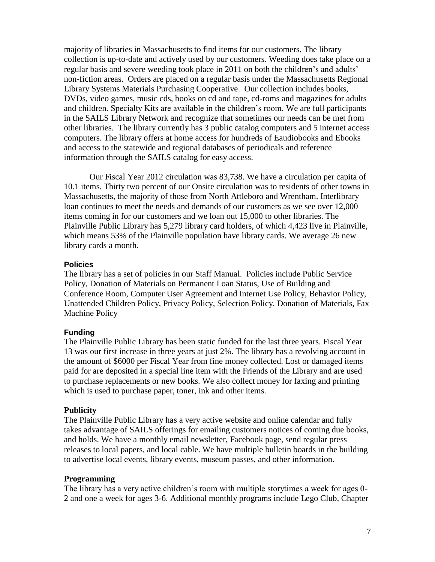majority of libraries in Massachusetts to find items for our customers. The library collection is up-to-date and actively used by our customers. Weeding does take place on a regular basis and severe weeding took place in 2011 on both the children's and adults' non-fiction areas. Orders are placed on a regular basis under the Massachusetts Regional Library Systems Materials Purchasing Cooperative. Our collection includes books, DVDs, video games, music cds, books on cd and tape, cd-roms and magazines for adults and children. Specialty Kits are available in the children's room. We are full participants in the SAILS Library Network and recognize that sometimes our needs can be met from other libraries. The library currently has 3 public catalog computers and 5 internet access computers. The library offers at home access for hundreds of Eaudiobooks and Ebooks and access to the statewide and regional databases of periodicals and reference information through the SAILS catalog for easy access.

Our Fiscal Year 2012 circulation was 83,738. We have a circulation per capita of 10.1 items. Thirty two percent of our Onsite circulation was to residents of other towns in Massachusetts, the majority of those from North Attleboro and Wrentham. Interlibrary loan continues to meet the needs and demands of our customers as we see over 12,000 items coming in for our customers and we loan out 15,000 to other libraries. The Plainville Public Library has 5,279 library card holders, of which 4,423 live in Plainville, which means 53% of the Plainville population have library cards. We average 26 new library cards a month.

### **Policies**

The library has a set of policies in our Staff Manual. Policies include Public Service Policy, Donation of Materials on Permanent Loan Status, Use of Building and Conference Room, Computer User Agreement and Internet Use Policy, Behavior Policy, Unattended Children Policy, Privacy Policy, Selection Policy, Donation of Materials, Fax Machine Policy

## **Funding**

The Plainville Public Library has been static funded for the last three years. Fiscal Year 13 was our first increase in three years at just 2%. The library has a revolving account in the amount of \$6000 per Fiscal Year from fine money collected. Lost or damaged items paid for are deposited in a special line item with the Friends of the Library and are used to purchase replacements or new books. We also collect money for faxing and printing which is used to purchase paper, toner, ink and other items.

## **Publicity**

The Plainville Public Library has a very active website and online calendar and fully takes advantage of SAILS offerings for emailing customers notices of coming due books, and holds. We have a monthly email newsletter, Facebook page, send regular press releases to local papers, and local cable. We have multiple bulletin boards in the building to advertise local events, library events, museum passes, and other information.

#### **Programming**

The library has a very active children's room with multiple storytimes a week for ages 0- 2 and one a week for ages 3-6. Additional monthly programs include Lego Club, Chapter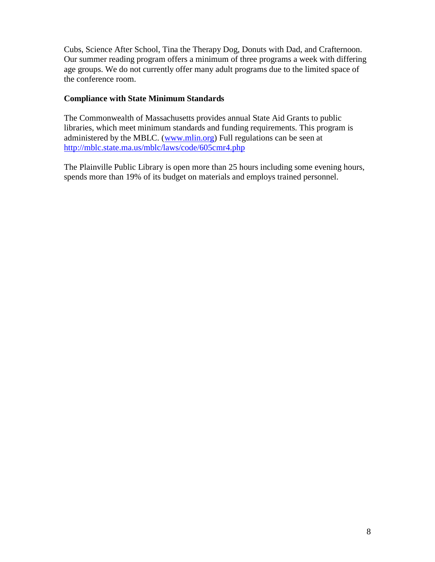Cubs, Science After School, Tina the Therapy Dog, Donuts with Dad, and Crafternoon. Our summer reading program offers a minimum of three programs a week with differing age groups. We do not currently offer many adult programs due to the limited space of the conference room.

## **Compliance with State Minimum Standards**

The Commonwealth of Massachusetts provides annual State Aid Grants to public libraries, which meet minimum standards and funding requirements. This program is administered by the MBLC. [\(www.mlin.org\)](http://www.mlin.org/) Full regulations can be seen at <http://mblc.state.ma.us/mblc/laws/code/605cmr4.php>

The Plainville Public Library is open more than 25 hours including some evening hours, spends more than 19% of its budget on materials and employs trained personnel.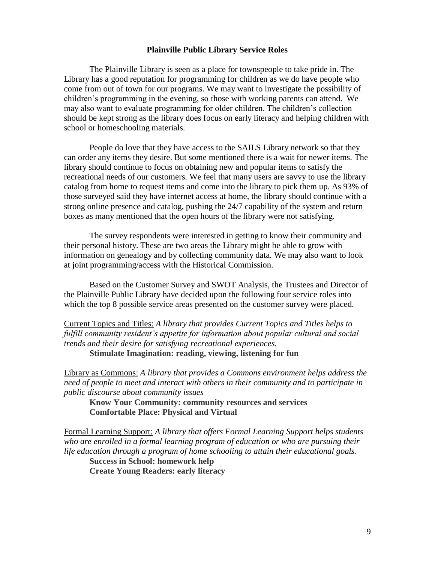#### **Plainville Public Library Service Roles**

The Plainville Library is seen as a place for townspeople to take pride in. The Library has a good reputation for programming for children as we do have people who come from out of town for our programs. We may want to investigate the possibility of children's programming in the evening, so those with working parents can attend. We may also want to evaluate programming for older children. The children's collection should be kept strong as the library does focus on early literacy and helping children with school or homeschooling materials.

People do love that they have access to the SAILS Library network so that they can order any items they desire. But some mentioned there is a wait for newer items. The library should continue to focus on obtaining new and popular items to satisfy the recreational needs of our customers. We feel that many users are savvy to use the library catalog from home to request items and come into the library to pick them up. As 93% of those surveyed said they have internet access at home, the library should continue with a strong online presence and catalog, pushing the 24/7 capability of the system and return boxes as many mentioned that the open hours of the library were not satisfying.

The survey respondents were interested in getting to know their community and their personal history. These are two areas the Library might be able to grow with information on genealogy and by collecting community data. We may also want to look at joint programming/access with the Historical Commission.

Based on the Customer Survey and SWOT Analysis, the Trustees and Director of the Plainville Public Library have decided upon the following four service roles into which the top 8 possible service areas presented on the customer survey were placed.

Current Topics and Titles: *A library that provides Current Topics and Titles helps to fulfill community resident's appetite for information about popular cultural and social trends and their desire for satisfying recreational experiences.* **Stimulate Imagination: reading, viewing, listening for fun**

Library as Commons: *A library that provides a Commons environment helps address the need of people to meet and interact with others in their community and to participate in public discourse about community issues*

**Know Your Community: community resources and services Comfortable Place: Physical and Virtual**

Formal Learning Support: *A library that offers Formal Learning Support helps students*  who are enrolled in a formal learning program of education or who are pursuing their *life education through a program of home schooling to attain their educational goals.*

**Success in School: homework help Create Young Readers: early literacy**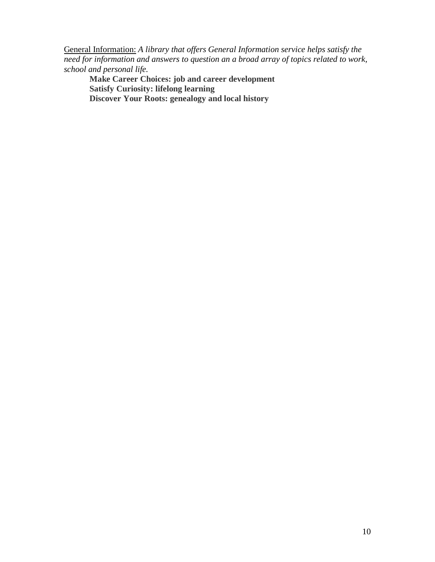General Information: *A library that offers General Information service helps satisfy the need for information and answers to question an a broad array of topics related to work, school and personal life.*

**Make Career Choices: job and career development Satisfy Curiosity: lifelong learning Discover Your Roots: genealogy and local history**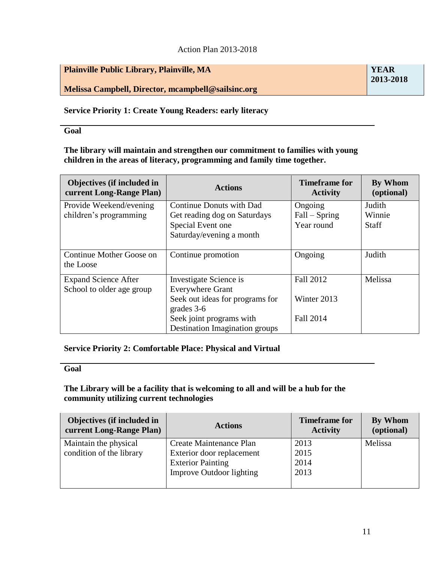## Action Plan 2013-2018

| <b>YEAR</b> |
|-------------|
| 2013-2018   |
|             |
|             |

# **Service Priority 1: Create Young Readers: early literacy**

**Goal**

**The library will maintain and strengthen our commitment to families with young children in the areas of literacy, programming and family time together.** 

| Objectives (if included in<br>current Long-Range Plan)   | <b>Actions</b>                                                                                                                 | <b>Timeframe for</b><br><b>Activity</b>             | By Whom<br>(optional)            |
|----------------------------------------------------------|--------------------------------------------------------------------------------------------------------------------------------|-----------------------------------------------------|----------------------------------|
| Provide Weekend/evening<br>children's programming        | <b>Continue Donuts with Dad</b><br>Get reading dog on Saturdays<br>Special Event one<br>Saturday/evening a month               | Ongoing<br>$Fall - Spring$<br>Year round            | Judith<br>Winnie<br><b>Staff</b> |
| Continue Mother Goose on<br>the Loose                    | Continue promotion                                                                                                             | Ongoing                                             | Judith                           |
| <b>Expand Science After</b><br>School to older age group | Investigate Science is<br><b>Everywhere Grant</b><br>Seek out ideas for programs for<br>grades 3-6<br>Seek joint programs with | <b>Fall 2012</b><br>Winter 2013<br><b>Fall 2014</b> | Melissa                          |
|                                                          | <b>Destination Imagination groups</b>                                                                                          |                                                     |                                  |

# **Service Priority 2: Comfortable Place: Physical and Virtual**

## **Goal**

# **The Library will be a facility that is welcoming to all and will be a hub for the community utilizing current technologies**

| <b>Objectives (if included in</b>                 | <b>Actions</b>                                                                                                      | <b>Timeframe for</b>         | By Whom    |
|---------------------------------------------------|---------------------------------------------------------------------------------------------------------------------|------------------------------|------------|
| current Long-Range Plan)                          |                                                                                                                     | <b>Activity</b>              | (optional) |
| Maintain the physical<br>condition of the library | Create Maintenance Plan<br>Exterior door replacement<br><b>Exterior Painting</b><br><b>Improve Outdoor lighting</b> | 2013<br>2015<br>2014<br>2013 | Melissa    |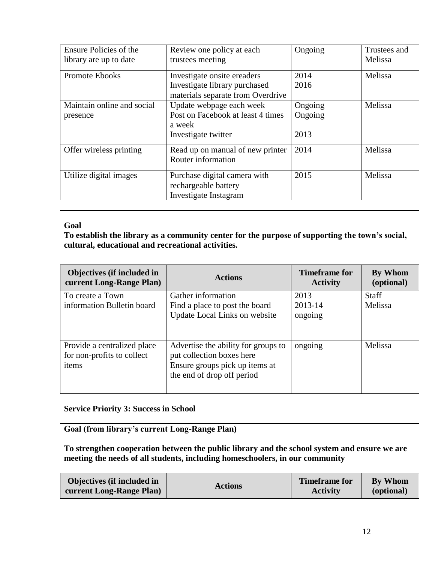| Ensure Policies of the<br>library are up to date | Review one policy at each<br>trustees meeting                                                     | Ongoing                    | Trustees and<br>Melissa |
|--------------------------------------------------|---------------------------------------------------------------------------------------------------|----------------------------|-------------------------|
| Promote Ebooks                                   | Investigate onsite ereaders<br>Investigate library purchased<br>materials separate from Overdrive | 2014<br>2016               | Melissa                 |
| Maintain online and social<br>presence           | Update webpage each week<br>Post on Facebook at least 4 times<br>a week<br>Investigate twitter    | Ongoing<br>Ongoing<br>2013 | Melissa                 |
| Offer wireless printing                          | Read up on manual of new printer<br>Router information                                            | 2014                       | Melissa                 |
| Utilize digital images                           | Purchase digital camera with<br>rechargeable battery<br>Investigate Instagram                     | 2015                       | Melissa                 |

## **Goal**

**To establish the library as a community center for the purpose of supporting the town's social, cultural, educational and recreational activities.**

| <b>Objectives (if included in</b><br>current Long-Range Plan)      | <b>Actions</b>                                                                                                                   | <b>Timeframe for</b><br><b>Activity</b> | By Whom<br>(optional) |
|--------------------------------------------------------------------|----------------------------------------------------------------------------------------------------------------------------------|-----------------------------------------|-----------------------|
| To create a Town                                                   | Gather information                                                                                                               | 2013                                    | Staff                 |
| information Bulletin board                                         | Find a place to post the board<br>Update Local Links on website                                                                  | 2013-14<br>ongoing                      | Melissa               |
| Provide a centralized place<br>for non-profits to collect<br>items | Advertise the ability for groups to<br>put collection boxes here<br>Ensure groups pick up items at<br>the end of drop off period | ongoing                                 | Melissa               |

# **Service Priority 3: Success in School**

**Goal (from library's current Long-Range Plan)**

**To strengthen cooperation between the public library and the school system and ensure we are meeting the needs of all students, including homeschoolers, in our community**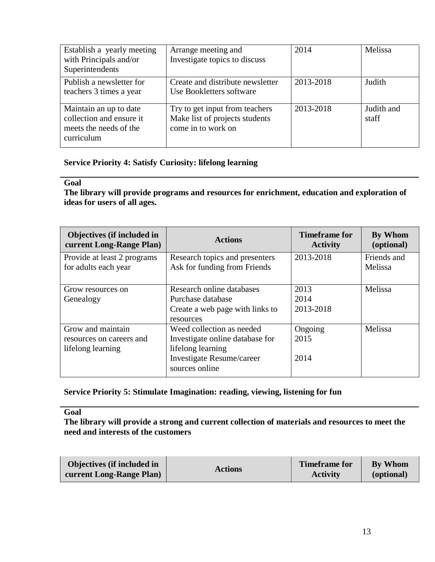| Establish a yearly meeting<br>with Principals and/or<br>Superintendents                    | Arrange meeting and<br>Investigate topics to discuss                                   | 2014      | Melissa             |
|--------------------------------------------------------------------------------------------|----------------------------------------------------------------------------------------|-----------|---------------------|
| Publish a newsletter for<br>teachers 3 times a year                                        | Create and distribute newsletter<br>Use Bookletters software                           | 2013-2018 | Judith              |
| Maintain an up to date<br>collection and ensure it<br>meets the needs of the<br>curriculum | Try to get input from teachers<br>Make list of projects students<br>come in to work on | 2013-2018 | Judith and<br>staff |

# **Service Priority 4: Satisfy Curiosity: lifelong learning**

#### **Goal**

**The library will provide programs and resources for enrichment, education and exploration of ideas for users of all ages.**

| <b>Objectives (if included in</b><br>current Long-Range Plan) | <b>Actions</b>                  | <b>Timeframe for</b><br><b>Activity</b> | By Whom<br>(optional) |
|---------------------------------------------------------------|---------------------------------|-----------------------------------------|-----------------------|
| Provide at least 2 programs                                   | Research topics and presenters  | 2013-2018                               | Friends and           |
| for adults each year                                          | Ask for funding from Friends    |                                         | Melissa               |
|                                                               |                                 |                                         |                       |
| Grow resources on                                             | Research online databases       | 2013                                    | Melissa               |
| Genealogy                                                     | Purchase database               | 2014                                    |                       |
|                                                               | Create a web page with links to | 2013-2018                               |                       |
|                                                               | resources                       |                                         |                       |
| Grow and maintain                                             | Weed collection as needed       | Ongoing                                 | Melissa               |
| resources on careers and                                      | Investigate online database for | 2015                                    |                       |
| lifelong learning                                             | lifelong learning               |                                         |                       |
|                                                               | Investigate Resume/career       | 2014                                    |                       |
|                                                               | sources online                  |                                         |                       |

# **Service Priority 5: Stimulate Imagination: reading, viewing, listening for fun**

## **Goal**

**The library will provide a strong and current collection of materials and resources to meet the need and interests of the customers**

| Objectives (if included in     | <b>Actions</b> | Timeframe for   | <b>By Whom</b> |
|--------------------------------|----------------|-----------------|----------------|
| <b>Current Long-Range Plan</b> |                | <b>Activity</b> | (optional)     |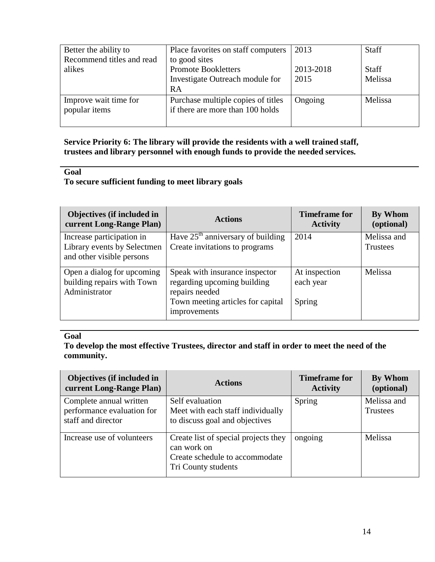| Better the ability to                  | Place favorites on staff computers                                                   | 2013              | <b>Staff</b>            |
|----------------------------------------|--------------------------------------------------------------------------------------|-------------------|-------------------------|
| Recommend titles and read<br>alikes    | to good sites<br><b>Promote Bookletters</b><br>Investigate Outreach module for<br>RA | 2013-2018<br>2015 | <b>Staff</b><br>Melissa |
| Improve wait time for<br>popular items | Purchase multiple copies of titles<br>if there are more than 100 holds               | Ongoing           | Melissa                 |

# **Service Priority 6: The library will provide the residents with a well trained staff, trustees and library personnel with enough funds to provide the needed services.**

## **Goal**

# **To secure sufficient funding to meet library goals**

| Objectives (if included in<br>current Long-Range Plan)                                | <b>Actions</b>                                                                                                                       | <b>Timeframe for</b><br><b>Activity</b> | By Whom<br>(optional)          |
|---------------------------------------------------------------------------------------|--------------------------------------------------------------------------------------------------------------------------------------|-----------------------------------------|--------------------------------|
| Increase participation in<br>Library events by Selectmen<br>and other visible persons | Have $25th$ anniversary of building<br>Create invitations to programs                                                                | 2014                                    | Melissa and<br><b>Trustees</b> |
| Open a dialog for upcoming<br>building repairs with Town<br>Administrator             | Speak with insurance inspector<br>regarding upcoming building<br>repairs needed<br>Town meeting articles for capital<br>improvements | At inspection<br>each year<br>Spring    | Melissa                        |

# **Goal**

**To develop the most effective Trustees, director and staff in order to meet the need of the community.**

| Objectives (if included in<br>current Long-Range Plan)                      | <b>Actions</b>                                                                                               | <b>Timeframe for</b><br><b>Activity</b> | By Whom<br>(optional)   |
|-----------------------------------------------------------------------------|--------------------------------------------------------------------------------------------------------------|-----------------------------------------|-------------------------|
| Complete annual written<br>performance evaluation for<br>staff and director | Self evaluation<br>Meet with each staff individually<br>to discuss goal and objectives                       | Spring                                  | Melissa and<br>Trustees |
| Increase use of volunteers                                                  | Create list of special projects they<br>can work on<br>Create schedule to accommodate<br>Tri County students | ongoing                                 | Melissa                 |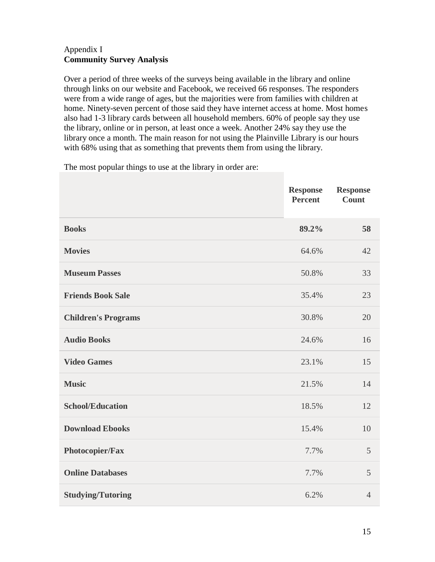# Appendix I **Community Survey Analysis**

Over a period of three weeks of the surveys being available in the library and online through links on our website and Facebook, we received 66 responses. The responders were from a wide range of ages, but the majorities were from families with children at home. Ninety-seven percent of those said they have internet access at home. Most homes also had 1-3 library cards between all household members. 60% of people say they use the library, online or in person, at least once a week. Another 24% say they use the library once a month. The main reason for not using the Plainville Library is our hours with 68% using that as something that prevents them from using the library.

The most popular things to use at the library in order are:

|                            | <b>Response</b><br><b>Percent</b> | <b>Response</b><br><b>Count</b> |
|----------------------------|-----------------------------------|---------------------------------|
| <b>Books</b>               | 89.2%                             | 58                              |
| <b>Movies</b>              | 64.6%                             | 42                              |
| <b>Museum Passes</b>       | 50.8%                             | 33                              |
| <b>Friends Book Sale</b>   | 35.4%                             | 23                              |
| <b>Children's Programs</b> | 30.8%                             | 20                              |
| <b>Audio Books</b>         | 24.6%                             | 16                              |
| <b>Video Games</b>         | 23.1%                             | 15                              |
| <b>Music</b>               | 21.5%                             | 14                              |
| <b>School/Education</b>    | 18.5%                             | 12                              |
| <b>Download Ebooks</b>     | 15.4%                             | 10                              |
| Photocopier/Fax            | 7.7%                              | 5                               |
| <b>Online Databases</b>    | 7.7%                              | 5                               |
| <b>Studying/Tutoring</b>   | 6.2%                              | $\overline{4}$                  |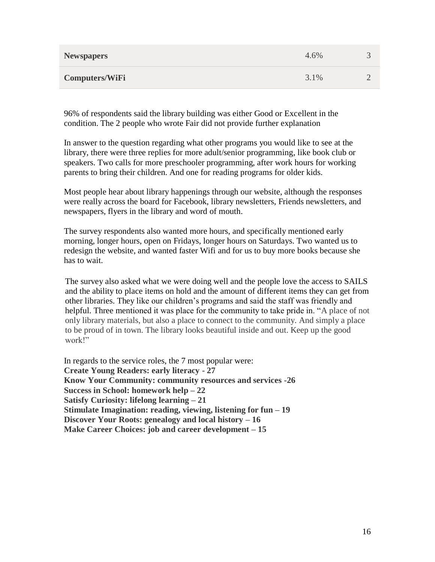| <b>Newspapers</b>     | 4.6% |           |
|-----------------------|------|-----------|
| <b>Computers/WiFi</b> | 3.1% | $\bigcap$ |

96% of respondents said the library building was either Good or Excellent in the condition. The 2 people who wrote Fair did not provide further explanation

In answer to the question regarding what other programs you would like to see at the library, there were three replies for more adult/senior programming, like book club or speakers. Two calls for more preschooler programming, after work hours for working parents to bring their children. And one for reading programs for older kids.

Most people hear about library happenings through our website, although the responses were really across the board for Facebook, library newsletters, Friends newsletters, and newspapers, flyers in the library and word of mouth.

The survey respondents also wanted more hours, and specifically mentioned early morning, longer hours, open on Fridays, longer hours on Saturdays. Two wanted us to redesign the website, and wanted faster Wifi and for us to buy more books because she has to wait.

The survey also asked what we were doing well and the people love the access to SAILS and the ability to place items on hold and the amount of different items they can get from other libraries. They like our children's programs and said the staff was friendly and helpful. Three mentioned it was place for the community to take pride in. "A place of not only library materials, but also a place to connect to the community. And simply a place to be proud of in town. The library looks beautiful inside and out. Keep up the good work!"

In regards to the service roles, the 7 most popular were: **Create Young Readers: early literacy - 27 Know Your Community: community resources and services -26 Success in School: homework help – 22 Satisfy Curiosity: lifelong learning – 21 Stimulate Imagination: reading, viewing, listening for fun – 19 Discover Your Roots: genealogy and local history – 16 Make Career Choices: job and career development – 15**